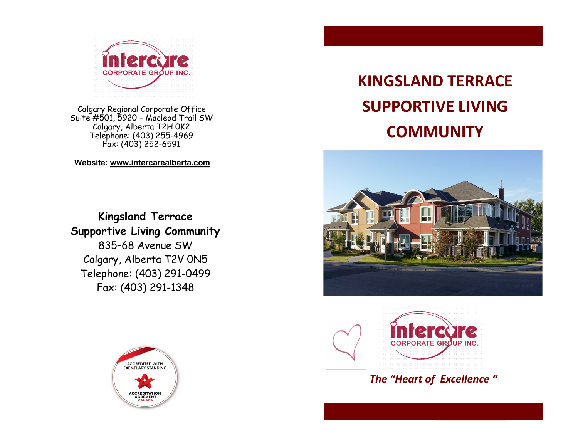

 Calgary Regional Corporate Office Suite #501, 5920 – Macleod Trail SW Calgary, Alberta T2H 0K2 Telephone: (403) 255-4969 Fax: (403) 252-6591

 **Website: [www.intercarealberta.com](http://www.intercarealberta.com)**

**Kingsland Terrace Supportive Living Community** 835–68 Avenue SW Calgary, Alberta T2V 0N5 Telephone: (403) 291-0499 Fax: (403) 291-1348



## **KINGSLAND TERRACE SUPPORTIVE LIVING COMMUNITY**





*The "Heart of Excellence "*